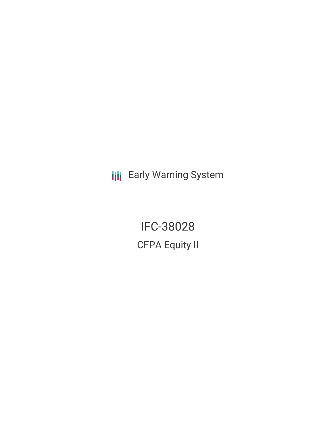**III** Early Warning System

IFC-38028 CFPA Equity II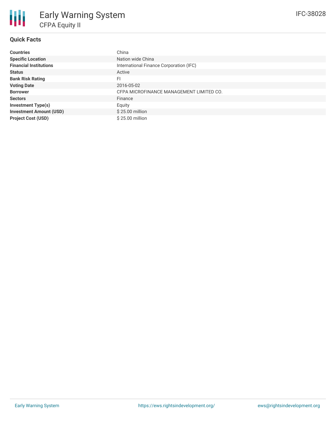# **Quick Facts**

冊

| <b>Countries</b>               | China                                    |
|--------------------------------|------------------------------------------|
| <b>Specific Location</b>       | Nation wide China                        |
| <b>Financial Institutions</b>  | International Finance Corporation (IFC)  |
| <b>Status</b>                  | Active                                   |
| <b>Bank Risk Rating</b>        | FI                                       |
| <b>Voting Date</b>             | 2016-05-02                               |
| <b>Borrower</b>                | CFPA MICROFINANCE MANAGEMENT LIMITED CO. |
| <b>Sectors</b>                 | Finance                                  |
| <b>Investment Type(s)</b>      | Equity                                   |
| <b>Investment Amount (USD)</b> | \$25.00 million                          |
| <b>Project Cost (USD)</b>      | \$25,00 million                          |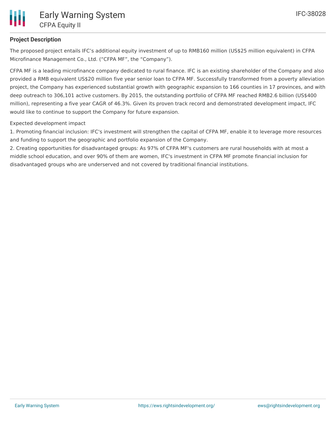

# **Project Description**

The proposed project entails IFC's additional equity investment of up to RMB160 million (US\$25 million equivalent) in CFPA Microfinance Management Co., Ltd. ("CFPA MF", the "Company").

CFPA MF is a leading microfinance company dedicated to rural finance. IFC is an existing shareholder of the Company and also provided a RMB equivalent US\$20 million five year senior loan to CFPA MF. Successfully transformed from a poverty alleviation project, the Company has experienced substantial growth with geographic expansion to 166 counties in 17 provinces, and with deep outreach to 306,101 active customers. By 2015, the outstanding portfolio of CFPA MF reached RMB2.6 billion (US\$400 million), representing a five year CAGR of 46.3%. Given its proven track record and demonstrated development impact, IFC would like to continue to support the Company for future expansion.

Expected development impact

1. Promoting financial inclusion: IFC's investment will strengthen the capital of CFPA MF, enable it to leverage more resources and funding to support the geographic and portfolio expansion of the Company.

2. Creating opportunities for disadvantaged groups: As 97% of CFPA MF's customers are rural households with at most a middle school education, and over 90% of them are women, IFC's investment in CFPA MF promote financial inclusion for disadvantaged groups who are underserved and not covered by traditional financial institutions.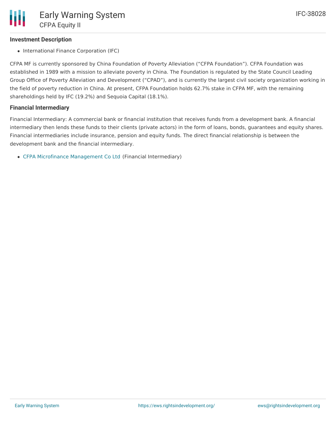## **Investment Description**

• International Finance Corporation (IFC)

CFPA MF is currently sponsored by China Foundation of Poverty Alleviation ("CFPA Foundation"). CFPA Foundation was established in 1989 with a mission to alleviate poverty in China. The Foundation is regulated by the State Council Leading Group Office of Poverty Alleviation and Development ("CPAD"), and is currently the largest civil society organization working in the field of poverty reduction in China. At present, CFPA Foundation holds 62.7% stake in CFPA MF, with the remaining shareholdings held by IFC (19.2%) and Sequoia Capital (18.1%).

### **Financial Intermediary**

Financial Intermediary: A commercial bank or financial institution that receives funds from a development bank. A financial intermediary then lends these funds to their clients (private actors) in the form of loans, bonds, guarantees and equity shares. Financial intermediaries include insurance, pension and equity funds. The direct financial relationship is between the development bank and the financial intermediary.

CFPA Microfinance [Management](file:///actor/903/) Co Ltd (Financial Intermediary)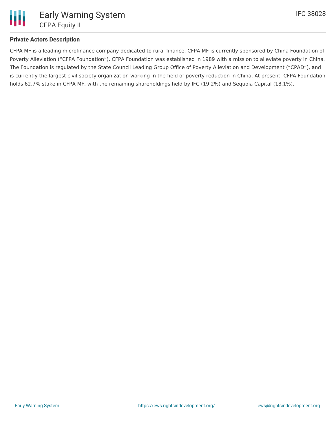

## **Private Actors Description**

CFPA MF is a leading microfinance company dedicated to rural finance. CFPA MF is currently sponsored by China Foundation of Poverty Alleviation ("CFPA Foundation"). CFPA Foundation was established in 1989 with a mission to alleviate poverty in China. The Foundation is regulated by the State Council Leading Group Office of Poverty Alleviation and Development ("CPAD"), and is currently the largest civil society organization working in the field of poverty reduction in China. At present, CFPA Foundation holds 62.7% stake in CFPA MF, with the remaining shareholdings held by IFC (19.2%) and Sequoia Capital (18.1%).